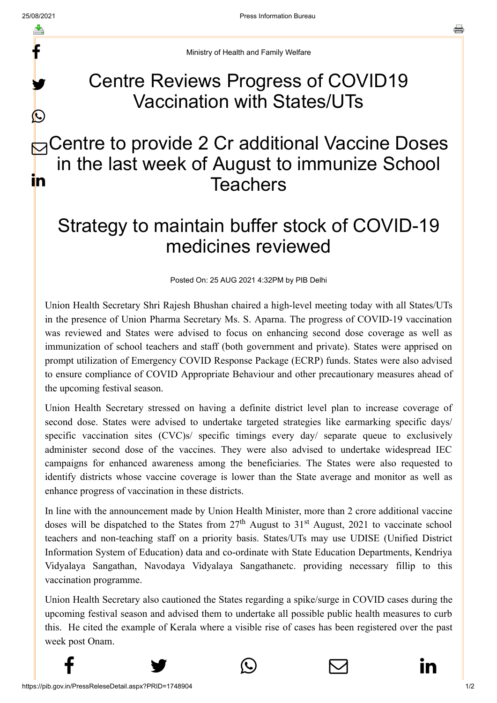f

y.

 $\bigcirc$ 

름

Ministry of Health and Family Welfare

## Centre Reviews Progress of COVID19 Vaccination with States/UTs

## **B** Centre to provide 2 Cr additional Vaccine Doses in the last week of August to immunize School **Teachers** in

## Strategy to maintain buffer stock of COVID-19 medicines reviewed

Posted On: 25 AUG 2021 4:32PM by PIB Delhi

Union Health Secretary Shri Rajesh Bhushan chaired a high-level meeting today with all States/UTs in the presence of Union Pharma Secretary Ms. S. Aparna. The progress of COVID-19 vaccination was reviewed and States were advised to focus on enhancing second dose coverage as well as immunization of school teachers and staff (both government and private). States were apprised on prompt utilization of Emergency COVID Response Package (ECRP) funds. States were also advised to ensure compliance of COVID Appropriate Behaviour and other precautionary measures ahead of the upcoming festival season.

Union Health Secretary stressed on having a definite district level plan to increase coverage of second dose. States were advised to undertake targeted strategies like earmarking specific days/ specific vaccination sites (CVC)s/ specific timings every day/ separate queue to exclusively administer second dose of the vaccines. They were also advised to undertake widespread IEC campaigns for enhanced awareness among the beneficiaries. The States were also requested to identify districts whose vaccine coverage is lower than the State average and monitor as well as enhance progress of vaccination in these districts.

In line with the announcement made by Union Health Minister, more than 2 crore additional vaccine doses will be dispatched to the States from  $27<sup>th</sup>$  August to  $31<sup>st</sup>$  August, 2021 to vaccinate school teachers and non-teaching staff on a priority basis. States/UTs may use UDISE (Unified District Information System of Education) data and co-ordinate with State Education Departments, Kendriya Vidyalaya Sangathan, Navodaya Vidyalaya Sangathanetc. providing necessary fillip to this vaccination programme.

Union Health Secretary also cautioned the States regarding a spike/surge in COVID cases during the upcoming festival season and advised them to undertake all possible public health measures to curb this. He cited the example of Kerala where a visible rise of cases has been registered over the past week post Onam.